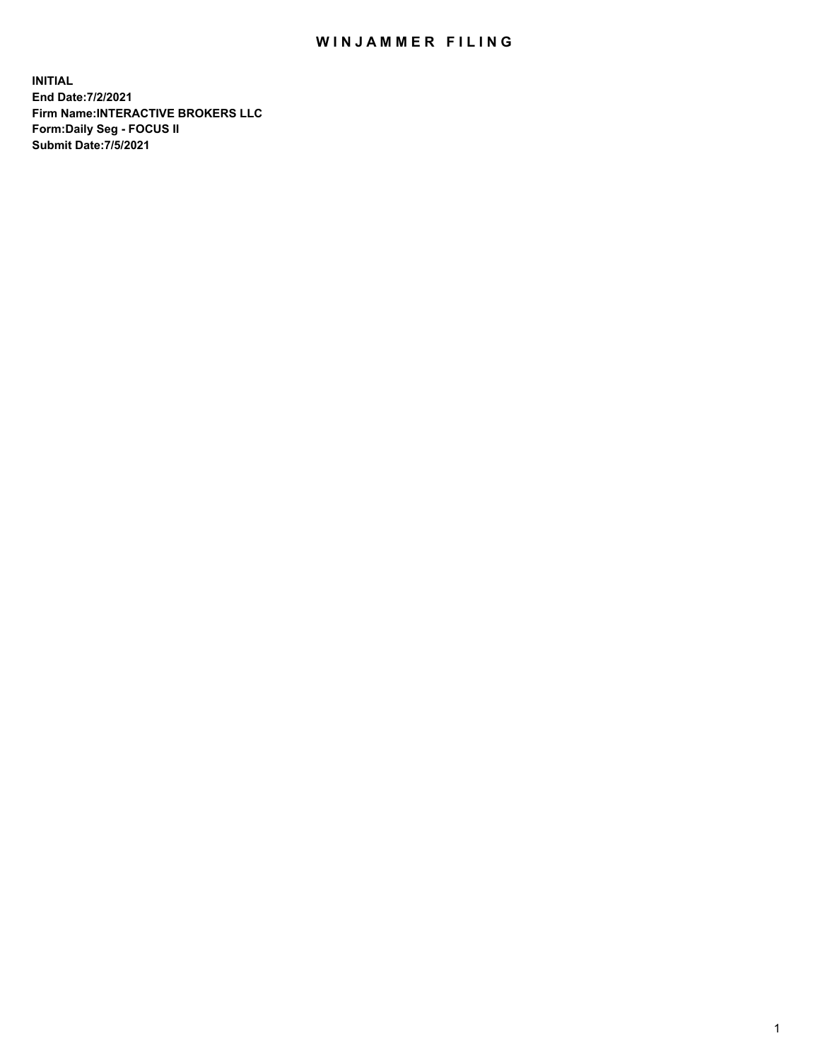## WIN JAMMER FILING

**INITIAL End Date:7/2/2021 Firm Name:INTERACTIVE BROKERS LLC Form:Daily Seg - FOCUS II Submit Date:7/5/2021**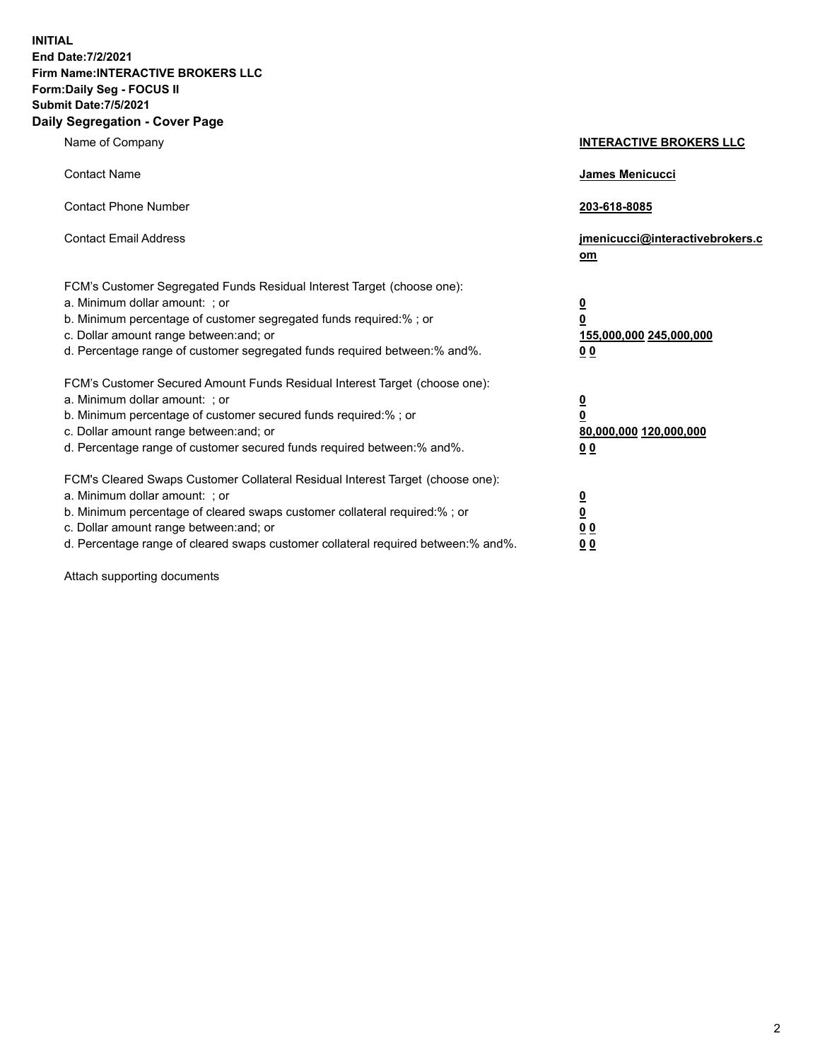**INITIAL End Date:7/2/2021 Firm Name:INTERACTIVE BROKERS LLC Form:Daily Seg - FOCUS II Submit Date:7/5/2021 Daily Segregation - Cover Page**

| Name of Company                                                                                                                                                                                                                                                                                                                | <b>INTERACTIVE BROKERS LLC</b>                                                                  |
|--------------------------------------------------------------------------------------------------------------------------------------------------------------------------------------------------------------------------------------------------------------------------------------------------------------------------------|-------------------------------------------------------------------------------------------------|
| <b>Contact Name</b>                                                                                                                                                                                                                                                                                                            | James Menicucci                                                                                 |
| <b>Contact Phone Number</b>                                                                                                                                                                                                                                                                                                    | 203-618-8085                                                                                    |
| <b>Contact Email Address</b>                                                                                                                                                                                                                                                                                                   | jmenicucci@interactivebrokers.c<br>om                                                           |
| FCM's Customer Segregated Funds Residual Interest Target (choose one):<br>a. Minimum dollar amount: ; or<br>b. Minimum percentage of customer segregated funds required:%; or<br>c. Dollar amount range between: and; or<br>d. Percentage range of customer segregated funds required between:% and%.                          | $\overline{\mathbf{0}}$<br>$\overline{\mathbf{0}}$<br>155,000,000 245,000,000<br>0 <sub>0</sub> |
| FCM's Customer Secured Amount Funds Residual Interest Target (choose one):<br>a. Minimum dollar amount: ; or<br>b. Minimum percentage of customer secured funds required:% ; or<br>c. Dollar amount range between: and; or<br>d. Percentage range of customer secured funds required between:% and%.                           | $\frac{0}{0}$<br>80,000,000 120,000,000<br>0 <sub>0</sub>                                       |
| FCM's Cleared Swaps Customer Collateral Residual Interest Target (choose one):<br>a. Minimum dollar amount: ; or<br>b. Minimum percentage of cleared swaps customer collateral required:% ; or<br>c. Dollar amount range between: and; or<br>d. Percentage range of cleared swaps customer collateral required between:% and%. | $\frac{0}{0}$<br>0 <sub>0</sub><br>0 <sub>0</sub>                                               |

Attach supporting documents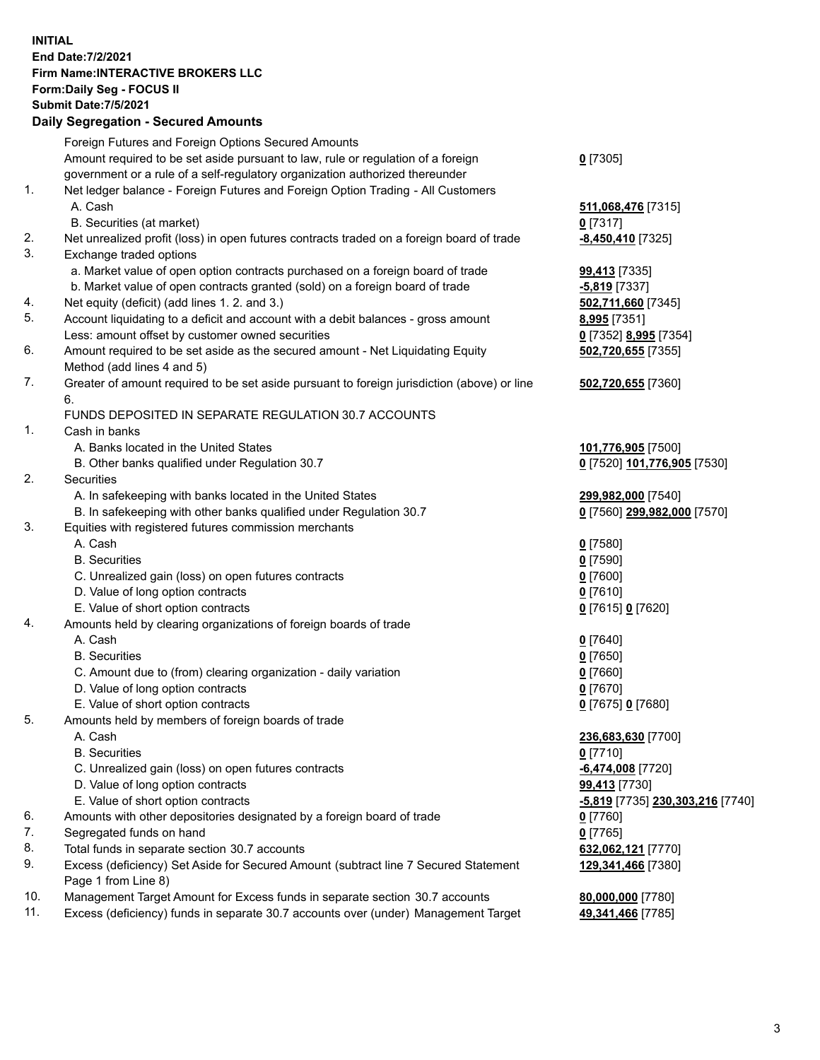**INITIAL End Date:7/2/2021 Firm Name:INTERACTIVE BROKERS LLC Form:Daily Seg - FOCUS II Submit Date:7/5/2021 Daily Segregation - Secured Amounts**

|                | $\frac{1}{2}$                                                                                              |                                               |
|----------------|------------------------------------------------------------------------------------------------------------|-----------------------------------------------|
|                | Foreign Futures and Foreign Options Secured Amounts                                                        |                                               |
|                | Amount required to be set aside pursuant to law, rule or regulation of a foreign                           | $0$ [7305]                                    |
|                | government or a rule of a self-regulatory organization authorized thereunder                               |                                               |
| $\mathbf{1}$ . | Net ledger balance - Foreign Futures and Foreign Option Trading - All Customers                            |                                               |
|                | A. Cash                                                                                                    | 511,068,476 [7315]                            |
|                | B. Securities (at market)                                                                                  | $0$ [7317]                                    |
| 2.             | Net unrealized profit (loss) in open futures contracts traded on a foreign board of trade                  | -8,450,410 [7325]                             |
| 3.             | Exchange traded options                                                                                    |                                               |
|                | a. Market value of open option contracts purchased on a foreign board of trade                             | 99,413 [7335]                                 |
|                | b. Market value of open contracts granted (sold) on a foreign board of trade                               | $-5,819$ [7337]                               |
| 4.             | Net equity (deficit) (add lines 1. 2. and 3.)                                                              | 502,711,660 [7345]                            |
| 5.             | Account liquidating to a deficit and account with a debit balances - gross amount                          | 8,995 [7351]                                  |
|                | Less: amount offset by customer owned securities                                                           | 0 [7352] 8,995 [7354]                         |
| 6.             | Amount required to be set aside as the secured amount - Net Liquidating Equity                             | 502,720,655 [7355]                            |
|                | Method (add lines 4 and 5)                                                                                 |                                               |
| 7.             | Greater of amount required to be set aside pursuant to foreign jurisdiction (above) or line<br>6.          | 502,720,655 [7360]                            |
|                | FUNDS DEPOSITED IN SEPARATE REGULATION 30.7 ACCOUNTS                                                       |                                               |
| $\mathbf{1}$ . | Cash in banks                                                                                              |                                               |
|                | A. Banks located in the United States                                                                      | 101,776,905 [7500]                            |
|                | B. Other banks qualified under Regulation 30.7                                                             | 0 [7520] 101,776,905 [7530]                   |
| 2.             | Securities                                                                                                 |                                               |
|                | A. In safekeeping with banks located in the United States                                                  | 299,982,000 [7540]                            |
|                | B. In safekeeping with other banks qualified under Regulation 30.7                                         | 0 [7560] 299,982,000 [7570]                   |
| 3.             | Equities with registered futures commission merchants                                                      |                                               |
|                | A. Cash                                                                                                    | $0$ [7580]                                    |
|                | <b>B.</b> Securities                                                                                       | $0$ [7590]                                    |
|                | C. Unrealized gain (loss) on open futures contracts                                                        | $0$ [7600]                                    |
|                | D. Value of long option contracts                                                                          | $0$ [7610]                                    |
|                | E. Value of short option contracts                                                                         | 0 [7615] 0 [7620]                             |
| 4.             | Amounts held by clearing organizations of foreign boards of trade                                          |                                               |
|                | A. Cash                                                                                                    | $0$ [7640]                                    |
|                | <b>B.</b> Securities                                                                                       | $0$ [7650]                                    |
|                | C. Amount due to (from) clearing organization - daily variation                                            | $0$ [7660]                                    |
|                | D. Value of long option contracts                                                                          | $0$ [7670]                                    |
|                | E. Value of short option contracts                                                                         | 0 [7675] 0 [7680]                             |
| 5.             | Amounts held by members of foreign boards of trade                                                         |                                               |
|                | A. Cash                                                                                                    | 236,683,630 [7700]                            |
|                | <b>B.</b> Securities                                                                                       | $0$ [7710]                                    |
|                | C. Unrealized gain (loss) on open futures contracts                                                        | -6,474,008 [7720]                             |
|                | D. Value of long option contracts                                                                          | <b>99,413</b> [7730]                          |
|                | E. Value of short option contracts                                                                         | <mark>-5,819</mark> [7735] 230,303,216 [7740] |
| 6.             | Amounts with other depositories designated by a foreign board of trade                                     | $0$ [7760]                                    |
| 7.             | Segregated funds on hand                                                                                   | $0$ [7765]                                    |
| 8.             | Total funds in separate section 30.7 accounts                                                              | 632,062,121 [7770]                            |
| 9.             | Excess (deficiency) Set Aside for Secured Amount (subtract line 7 Secured Statement<br>Page 1 from Line 8) | 129,341,466 [7380]                            |
| 10.            | Management Target Amount for Excess funds in separate section 30.7 accounts                                | 80,000,000 [7780]                             |
| 11.            | Excess (deficiency) funds in separate 30.7 accounts over (under) Management Target                         | 49,341,466 [7785]                             |
|                |                                                                                                            |                                               |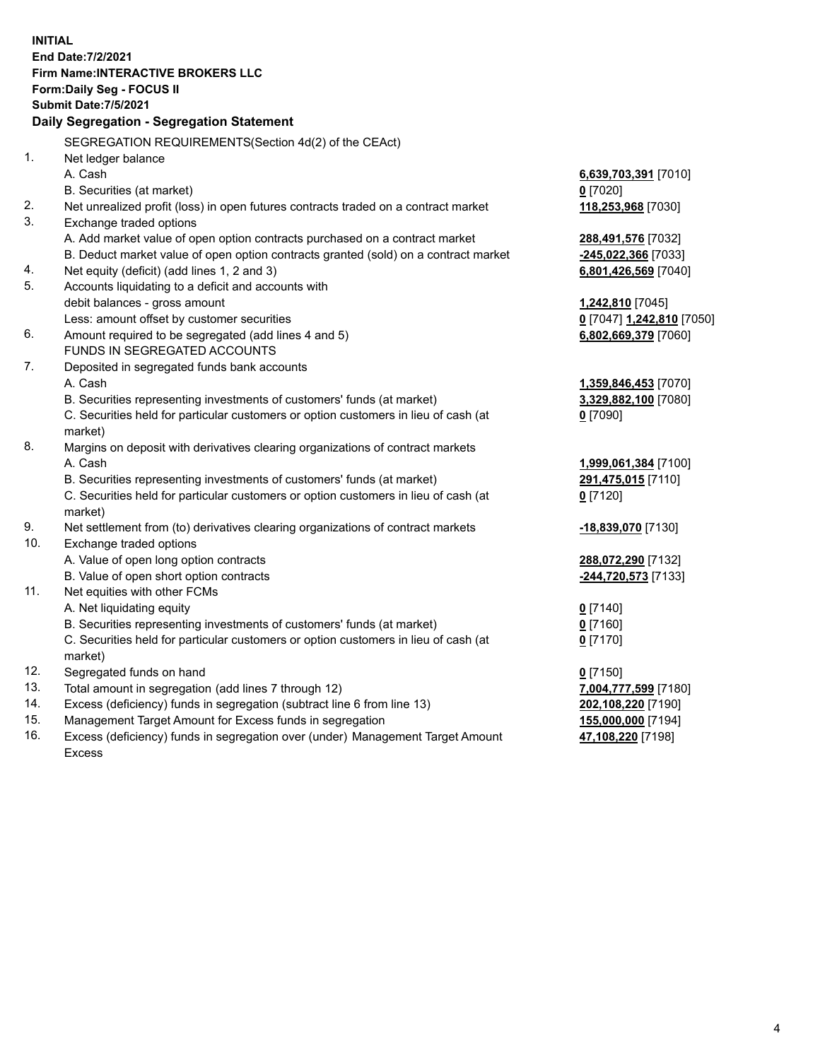**INITIAL End Date:7/2/2021 Firm Name:INTERACTIVE BROKERS LLC Form:Daily Seg - FOCUS II Submit Date:7/5/2021 Daily Segregation - Segregation Statement** SEGREGATION REQUIREMENTS(Section 4d(2) of the CEAct) 1. Net ledger balance A. Cash **6,639,703,391** [7010] B. Securities (at market) **0** [7020] 2. Net unrealized profit (loss) in open futures contracts traded on a contract market **118,253,968** [7030] 3. Exchange traded options A. Add market value of open option contracts purchased on a contract market **288,491,576** [7032] B. Deduct market value of open option contracts granted (sold) on a contract market **-245,022,366** [7033] 4. Net equity (deficit) (add lines 1, 2 and 3) **6,801,426,569** [7040] 5. Accounts liquidating to a deficit and accounts with debit balances - gross amount **1,242,810** [7045] Less: amount offset by customer securities **0** [7047] **1,242,810** [7050] 6. Amount required to be segregated (add lines 4 and 5) **6,802,669,379** [7060] FUNDS IN SEGREGATED ACCOUNTS 7. Deposited in segregated funds bank accounts A. Cash **1,359,846,453** [7070] B. Securities representing investments of customers' funds (at market) **3,329,882,100** [7080] C. Securities held for particular customers or option customers in lieu of cash (at market) **0** [7090] 8. Margins on deposit with derivatives clearing organizations of contract markets A. Cash **1,999,061,384** [7100] B. Securities representing investments of customers' funds (at market) **291,475,015** [7110] C. Securities held for particular customers or option customers in lieu of cash (at market) **0** [7120] 9. Net settlement from (to) derivatives clearing organizations of contract markets **-18,839,070** [7130] 10. Exchange traded options A. Value of open long option contracts **288,072,290** [7132] B. Value of open short option contracts **-244,720,573** [7133] 11. Net equities with other FCMs A. Net liquidating equity **0** [7140] B. Securities representing investments of customers' funds (at market) **0** [7160] C. Securities held for particular customers or option customers in lieu of cash (at market) **0** [7170] 12. Segregated funds on hand **0** [7150] 13. Total amount in segregation (add lines 7 through 12) **7,004,777,599** [7180] 14. Excess (deficiency) funds in segregation (subtract line 6 from line 13) **202,108,220** [7190] 15. Management Target Amount for Excess funds in segregation **155,000,000** [7194] **47,108,220** [7198]

16. Excess (deficiency) funds in segregation over (under) Management Target Amount Excess